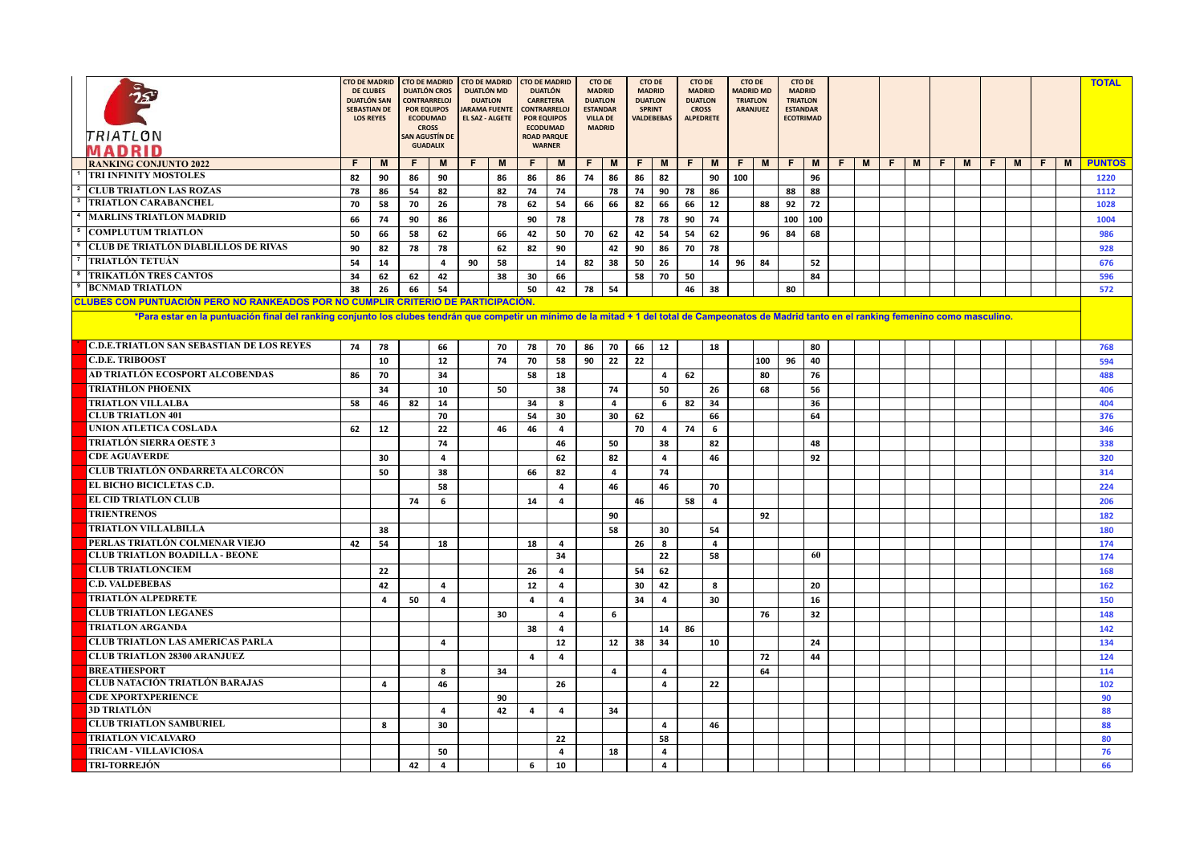| TRIATLON<br>MADRID                                                                                                                                                                                | <b>CTO DE MADRID</b><br><b>DE CLUBES</b><br>DUATLÓN SAN<br><b>SEBASTIAN DE</b><br><b>LOS REYES</b> |                | <b>CTO DE MADRID</b><br>DUATLÓN CROS<br><b>CONTRARRELOI</b><br><b>POR EQUIPOS</b><br><b>ECODUMAD</b><br><b>CROSS</b><br>AN AGUSTÍN DE<br><b>GUADALIX</b> |    | <b>CTO DE MADRID</b><br><b>DUATLÓN MD</b><br><b>DUATION</b><br><b>JARAMA FUENTE</b><br><b>EL SAZ - ALGETE</b> |    | <b>CTO DE MADRID</b><br><b>DUATLÓN</b><br><b>CARRETERA</b><br><b>CONTRARRELOJ</b><br><b>POR EQUIPOS</b><br><b>ECODUMAD</b><br><b>ROAD PARQUE</b><br><b>WARNER</b> |                         | <b>CTO DE</b><br><b>MADRID</b><br>DUATION<br><b>ESTANDAR</b><br><b>VILLA DE</b><br><b>MADRID</b> |                | <b>CTO DE</b><br><b>MADRID</b><br><b>DUATLON</b><br><b>SPRINT</b><br>VALDEBEBAS |                | <b>CTO DE</b><br><b>MADRID</b><br><b>DUATLON</b><br><b>CROSS</b><br><b>ALPEDRETE</b> |                | <b>CTO DE</b><br><b>MADRID MD</b><br><b>TRIATION</b><br><b>ARANJUEZ</b> |     | <b>CTO DE</b><br><b>MADRID</b><br><b>TRIATLON</b><br><b>ESTANDAR</b><br><b>ECOTRIMAD</b> |     |    |   |    |   |    |   |    |   |    |   | <b>TOTAL</b>  |
|---------------------------------------------------------------------------------------------------------------------------------------------------------------------------------------------------|----------------------------------------------------------------------------------------------------|----------------|----------------------------------------------------------------------------------------------------------------------------------------------------------|----|---------------------------------------------------------------------------------------------------------------|----|-------------------------------------------------------------------------------------------------------------------------------------------------------------------|-------------------------|--------------------------------------------------------------------------------------------------|----------------|---------------------------------------------------------------------------------|----------------|--------------------------------------------------------------------------------------|----------------|-------------------------------------------------------------------------|-----|------------------------------------------------------------------------------------------|-----|----|---|----|---|----|---|----|---|----|---|---------------|
| <b>RANKING CONJUNTO 2022</b>                                                                                                                                                                      | F                                                                                                  | M              | F                                                                                                                                                        | M  | F.                                                                                                            | M  | F                                                                                                                                                                 | M                       | F.                                                                                               | M              | F.                                                                              | M              | F.                                                                                   | M              | F.                                                                      | M   | F.                                                                                       | M   | F. | M | F. | M | F. | M | F. | M | F. | M | <b>PUNTOS</b> |
| TRI INFINITY MOSTOLES                                                                                                                                                                             | 82                                                                                                 | 90             | 86                                                                                                                                                       | 90 |                                                                                                               | 86 | 86                                                                                                                                                                | 86                      | 74                                                                                               | 86             | 86                                                                              | 82             |                                                                                      | 90             | 100                                                                     |     |                                                                                          | 96  |    |   |    |   |    |   |    |   |    |   | 1220          |
| <b>CLUB TRIATLON LAS ROZAS</b>                                                                                                                                                                    | 78                                                                                                 | 86             | 54                                                                                                                                                       | 82 |                                                                                                               | 82 | 74                                                                                                                                                                | 74                      |                                                                                                  | 78             | 74                                                                              | 90             | 78                                                                                   | 86             |                                                                         |     | 88                                                                                       | 88  |    |   |    |   |    |   |    |   |    |   | 1112          |
| <b>TRIATLON CARABANCHEL</b>                                                                                                                                                                       | 70                                                                                                 | 58             | 70                                                                                                                                                       | 26 |                                                                                                               | 78 | 62                                                                                                                                                                | 54                      | 66                                                                                               | 66             | 82                                                                              | 66             | 66                                                                                   | 12             |                                                                         | 88  | 92                                                                                       | 72  |    |   |    |   |    |   |    |   |    |   | 1028          |
| <b>MARLINS TRIATLON MADRID</b>                                                                                                                                                                    | 66                                                                                                 | 74             | 90                                                                                                                                                       | 86 |                                                                                                               |    | 90                                                                                                                                                                | 78                      |                                                                                                  |                | 78                                                                              | 78             | 90                                                                                   | 74             |                                                                         |     | 100                                                                                      | 100 |    |   |    |   |    |   |    |   |    |   | 1004          |
| <sup>5</sup> COMPLUTUM TRIATLON                                                                                                                                                                   | 50                                                                                                 | 66             | 58                                                                                                                                                       | 62 |                                                                                                               | 66 | 42                                                                                                                                                                | 50                      | 70                                                                                               | 62             | 42                                                                              | 54             | 54                                                                                   | 62             |                                                                         | 96  | 84                                                                                       | 68  |    |   |    |   |    |   |    |   |    |   | 986           |
| <b>CLUB DE TRIATLÓN DIABLILLOS DE RIVAS</b>                                                                                                                                                       | 90                                                                                                 | 82             | 78                                                                                                                                                       | 78 |                                                                                                               | 62 | 82                                                                                                                                                                | 90                      |                                                                                                  | 42             | 90                                                                              | 86             | 70                                                                                   | 78             |                                                                         |     |                                                                                          |     |    |   |    |   |    |   |    |   |    |   | 928           |
| TRIATLÓN TETUÁN                                                                                                                                                                                   | 54                                                                                                 | 14             |                                                                                                                                                          | 4  | 90                                                                                                            | 58 |                                                                                                                                                                   | 14                      | 82                                                                                               | 38             | 50                                                                              | 26             |                                                                                      | 14             | 96                                                                      | 84  |                                                                                          | 52  |    |   |    |   |    |   |    |   |    |   | 676           |
| <b>TRIKATLÓN TRES CANTOS</b>                                                                                                                                                                      | 34                                                                                                 | 62             | 62                                                                                                                                                       | 42 |                                                                                                               | 38 | 30                                                                                                                                                                | 66                      |                                                                                                  |                | 58                                                                              | 70             | 50                                                                                   |                |                                                                         |     |                                                                                          | 84  |    |   |    |   |    |   |    |   |    |   | 596           |
| <b>BCNMAD TRIATLON</b>                                                                                                                                                                            | 38                                                                                                 | 26             | 66                                                                                                                                                       | 54 |                                                                                                               |    | 50                                                                                                                                                                | 42                      | 78                                                                                               | 54             |                                                                                 |                | 46                                                                                   | 38             |                                                                         |     | 80                                                                                       |     |    |   |    |   |    |   |    |   |    |   | 572           |
| CLUBES CON PUNTUACIÓN PERO NO RANKEADOS POR NO CUMPLIR CRITERIO DE PARTICIPACIÓN                                                                                                                  |                                                                                                    |                |                                                                                                                                                          |    |                                                                                                               |    |                                                                                                                                                                   |                         |                                                                                                  |                |                                                                                 |                |                                                                                      |                |                                                                         |     |                                                                                          |     |    |   |    |   |    |   |    |   |    |   |               |
| *Para estar en la puntuación final del ranking conjunto los clubes tendrán que competir un mínimo de la mitad + 1 del total de Campeonatos de Madrid tanto en el ranking femenino como masculino. |                                                                                                    |                |                                                                                                                                                          |    |                                                                                                               |    |                                                                                                                                                                   |                         |                                                                                                  |                |                                                                                 |                |                                                                                      |                |                                                                         |     |                                                                                          |     |    |   |    |   |    |   |    |   |    |   |               |
| <b>C.D.E.TRIATLON SAN SEBASTIAN DE LOS REYES</b>                                                                                                                                                  | 74                                                                                                 | 78             |                                                                                                                                                          | 66 |                                                                                                               | 70 | 78                                                                                                                                                                | 70                      | 86                                                                                               | 70             | 66                                                                              | 12             |                                                                                      | 18             |                                                                         |     |                                                                                          | 80  |    |   |    |   |    |   |    |   |    |   | 768           |
| <b>C.D.E. TRIBOOST</b>                                                                                                                                                                            |                                                                                                    | 10             |                                                                                                                                                          | 12 |                                                                                                               | 74 | 70                                                                                                                                                                | 58                      | 90                                                                                               | 22             | 22                                                                              |                |                                                                                      |                |                                                                         | 100 | 96                                                                                       | 40  |    |   |    |   |    |   |    |   |    |   | 594           |
| AD TRIATLÓN ECOSPORT ALCOBENDAS                                                                                                                                                                   | 86                                                                                                 | 70             |                                                                                                                                                          | 34 |                                                                                                               |    | 58                                                                                                                                                                | 18                      |                                                                                                  |                |                                                                                 | 4              | 62                                                                                   |                |                                                                         | 80  |                                                                                          | 76  |    |   |    |   |    |   |    |   |    |   | 488           |
| <b>TRIATHLON PHOENIX</b>                                                                                                                                                                          |                                                                                                    | 34             |                                                                                                                                                          | 10 |                                                                                                               | 50 |                                                                                                                                                                   | 38                      |                                                                                                  | 74             |                                                                                 | 50             |                                                                                      | 26             |                                                                         | 68  |                                                                                          | 56  |    |   |    |   |    |   |    |   |    |   | 406           |
| <b>TRIATLON VILLALBA</b>                                                                                                                                                                          | 58                                                                                                 | 46             | 82                                                                                                                                                       | 14 |                                                                                                               |    | 34                                                                                                                                                                | 8                       |                                                                                                  | $\overline{4}$ |                                                                                 | 6              | 82                                                                                   | 34             |                                                                         |     |                                                                                          | 36  |    |   |    |   |    |   |    |   |    |   | 404           |
| <b>CLUB TRIATLON 401</b>                                                                                                                                                                          |                                                                                                    |                |                                                                                                                                                          | 70 |                                                                                                               |    | 54                                                                                                                                                                | 30                      |                                                                                                  | 30             | 62                                                                              |                |                                                                                      | 66             |                                                                         |     |                                                                                          | 64  |    |   |    |   |    |   |    |   |    |   | 376           |
| UNION ATLETICA COSLADA                                                                                                                                                                            | 62                                                                                                 | 12             |                                                                                                                                                          | 22 |                                                                                                               | 46 | 46                                                                                                                                                                | $\overline{a}$          |                                                                                                  |                | 70                                                                              | $\overline{a}$ | 74                                                                                   | 6              |                                                                         |     |                                                                                          |     |    |   |    |   |    |   |    |   |    |   | 346           |
| <b>TRIATLÓN SIERRA OESTE 3</b>                                                                                                                                                                    |                                                                                                    |                |                                                                                                                                                          | 74 |                                                                                                               |    |                                                                                                                                                                   | 46                      |                                                                                                  | 50             |                                                                                 | 38             |                                                                                      | 82             |                                                                         |     |                                                                                          | 48  |    |   |    |   |    |   |    |   |    |   | 338           |
| <b>CDE AGUAVERDE</b>                                                                                                                                                                              |                                                                                                    | 30             |                                                                                                                                                          | 4  |                                                                                                               |    |                                                                                                                                                                   | 62                      |                                                                                                  | 82             |                                                                                 | $\overline{4}$ |                                                                                      | 46             |                                                                         |     |                                                                                          | 92  |    |   |    |   |    |   |    |   |    |   | 320           |
| CLUB TRIATLÓN ONDARRETA ALCORCÓN                                                                                                                                                                  |                                                                                                    | 50             |                                                                                                                                                          | 38 |                                                                                                               |    | 66                                                                                                                                                                | 82                      |                                                                                                  | 4              |                                                                                 | 74             |                                                                                      |                |                                                                         |     |                                                                                          |     |    |   |    |   |    |   |    |   |    |   | 314           |
| EL BICHO BICICLETAS C.D.                                                                                                                                                                          |                                                                                                    |                |                                                                                                                                                          | 58 |                                                                                                               |    |                                                                                                                                                                   | $\overline{a}$          |                                                                                                  | 46             |                                                                                 | 46             |                                                                                      | 70             |                                                                         |     |                                                                                          |     |    |   |    |   |    |   |    |   |    |   | 224           |
| <b>EL CID TRIATLON CLUB</b>                                                                                                                                                                       |                                                                                                    |                | 74                                                                                                                                                       | 6  |                                                                                                               |    | 14                                                                                                                                                                | $\overline{\mathbf{4}}$ |                                                                                                  |                | 46                                                                              |                | 58                                                                                   | $\overline{4}$ |                                                                         |     |                                                                                          |     |    |   |    |   |    |   |    |   |    |   | 206           |
| <b>TRIENTRENOS</b>                                                                                                                                                                                |                                                                                                    |                |                                                                                                                                                          |    |                                                                                                               |    |                                                                                                                                                                   |                         |                                                                                                  | 90             |                                                                                 |                |                                                                                      |                |                                                                         | 92  |                                                                                          |     |    |   |    |   |    |   |    |   |    |   | 182           |
| <b>TRIATLON VILLALBILLA</b>                                                                                                                                                                       |                                                                                                    | 38             |                                                                                                                                                          |    |                                                                                                               |    |                                                                                                                                                                   |                         |                                                                                                  | 58             |                                                                                 | 30             |                                                                                      | 54             |                                                                         |     |                                                                                          |     |    |   |    |   |    |   |    |   |    |   | 180           |
| PERLAS TRIATLÓN COLMENAR VIEJO                                                                                                                                                                    | 42                                                                                                 | 54             |                                                                                                                                                          | 18 |                                                                                                               |    | 18                                                                                                                                                                | $\overline{4}$          |                                                                                                  |                | 26                                                                              | 8              |                                                                                      | $\overline{4}$ |                                                                         |     |                                                                                          |     |    |   |    |   |    |   |    |   |    |   | 174           |
| <b>CLUB TRIATLON BOADILLA - BEONE</b>                                                                                                                                                             |                                                                                                    |                |                                                                                                                                                          |    |                                                                                                               |    |                                                                                                                                                                   | 34                      |                                                                                                  |                |                                                                                 | 22             |                                                                                      | 58             |                                                                         |     |                                                                                          | 60  |    |   |    |   |    |   |    |   |    |   | 174           |
| <b>CLUB TRIATLONCIEM</b>                                                                                                                                                                          |                                                                                                    | 22             |                                                                                                                                                          |    |                                                                                                               |    | 26                                                                                                                                                                | $\overline{a}$          |                                                                                                  |                | 54                                                                              | 62             |                                                                                      |                |                                                                         |     |                                                                                          |     |    |   |    |   |    |   |    |   |    |   | 168           |
| <b>C.D. VALDEBEBAS</b>                                                                                                                                                                            |                                                                                                    | 42             |                                                                                                                                                          | 4  |                                                                                                               |    | 12                                                                                                                                                                | 4                       |                                                                                                  |                | 30                                                                              | 42             |                                                                                      | 8              |                                                                         |     |                                                                                          | 20  |    |   |    |   |    |   |    |   |    |   | 162           |
| <b>TRIATLÓN ALPEDRETE</b>                                                                                                                                                                         |                                                                                                    | $\overline{4}$ | 50                                                                                                                                                       | 4  |                                                                                                               |    | $\overline{4}$                                                                                                                                                    | 4                       |                                                                                                  |                | 34                                                                              | $\overline{4}$ |                                                                                      | 30             |                                                                         |     |                                                                                          | 16  |    |   |    |   |    |   |    |   |    |   | 150           |
| <b>CLUB TRIATLON LEGANES</b>                                                                                                                                                                      |                                                                                                    |                |                                                                                                                                                          |    |                                                                                                               | 30 |                                                                                                                                                                   | $\overline{4}$          |                                                                                                  | 6              |                                                                                 |                |                                                                                      |                |                                                                         | 76  |                                                                                          | 32  |    |   |    |   |    |   |    |   |    |   | 148           |
| <b>TRIATLON ARGANDA</b>                                                                                                                                                                           |                                                                                                    |                |                                                                                                                                                          |    |                                                                                                               |    | 38                                                                                                                                                                | 4                       |                                                                                                  |                |                                                                                 | 14             | 86                                                                                   |                |                                                                         |     |                                                                                          |     |    |   |    |   |    |   |    |   |    |   | 142           |
| <b>CLUB TRIATLON LAS AMERICAS PARLA</b>                                                                                                                                                           |                                                                                                    |                |                                                                                                                                                          | 4  |                                                                                                               |    |                                                                                                                                                                   | 12                      |                                                                                                  | 12             | 38                                                                              | 34             |                                                                                      | 10             |                                                                         |     |                                                                                          | 24  |    |   |    |   |    |   |    |   |    |   | 134           |
| <b>CLUB TRIATLON 28300 ARANJUEZ</b>                                                                                                                                                               |                                                                                                    |                |                                                                                                                                                          |    |                                                                                                               |    | $\overline{4}$                                                                                                                                                    | 4                       |                                                                                                  |                |                                                                                 |                |                                                                                      |                |                                                                         | 72  |                                                                                          | 44  |    |   |    |   |    |   |    |   |    |   | 124           |
| <b>BREATHESPORT</b>                                                                                                                                                                               |                                                                                                    |                |                                                                                                                                                          | 8  |                                                                                                               | 34 |                                                                                                                                                                   |                         |                                                                                                  | $\overline{a}$ |                                                                                 | 4              |                                                                                      |                |                                                                         | 64  |                                                                                          |     |    |   |    |   |    |   |    |   |    |   | 114           |
| <b>CLUB NATACIÓN TRIATLÓN BARAJAS</b>                                                                                                                                                             |                                                                                                    | 4              |                                                                                                                                                          | 46 |                                                                                                               |    |                                                                                                                                                                   | 26                      |                                                                                                  |                |                                                                                 | $\overline{4}$ |                                                                                      | 22             |                                                                         |     |                                                                                          |     |    |   |    |   |    |   |    |   |    |   | 102           |
| <b>CDE XPORTXPERIENCE</b>                                                                                                                                                                         |                                                                                                    |                |                                                                                                                                                          |    |                                                                                                               | 90 |                                                                                                                                                                   |                         |                                                                                                  |                |                                                                                 |                |                                                                                      |                |                                                                         |     |                                                                                          |     |    |   |    |   |    |   |    |   |    |   | 90            |
| <b>3D TRIATLÓN</b>                                                                                                                                                                                |                                                                                                    |                |                                                                                                                                                          | 4  |                                                                                                               | 42 | $\overline{4}$                                                                                                                                                    | 4                       |                                                                                                  | 34             |                                                                                 |                |                                                                                      |                |                                                                         |     |                                                                                          |     |    |   |    |   |    |   |    |   |    |   | 88            |
| <b>CLUB TRIATLON SAMBURIEL</b>                                                                                                                                                                    |                                                                                                    | 8              |                                                                                                                                                          | 30 |                                                                                                               |    |                                                                                                                                                                   |                         |                                                                                                  |                |                                                                                 | $\overline{a}$ |                                                                                      | 46             |                                                                         |     |                                                                                          |     |    |   |    |   |    |   |    |   |    |   | 88            |
| <b>TRIATLON VICALVARO</b>                                                                                                                                                                         |                                                                                                    |                |                                                                                                                                                          |    |                                                                                                               |    |                                                                                                                                                                   | 22                      |                                                                                                  |                |                                                                                 | 58             |                                                                                      |                |                                                                         |     |                                                                                          |     |    |   |    |   |    |   |    |   |    |   | 80            |
| <b>TRICAM - VILLAVICIOSA</b>                                                                                                                                                                      |                                                                                                    |                |                                                                                                                                                          | 50 |                                                                                                               |    |                                                                                                                                                                   | 4                       |                                                                                                  | 18             |                                                                                 | $\overline{4}$ |                                                                                      |                |                                                                         |     |                                                                                          |     |    |   |    |   |    |   |    |   |    |   | 76            |
| <b>TRI-TORREJÓN</b>                                                                                                                                                                               |                                                                                                    |                | 42                                                                                                                                                       | 4  |                                                                                                               |    | 6                                                                                                                                                                 | 10                      |                                                                                                  |                |                                                                                 | 4              |                                                                                      |                |                                                                         |     |                                                                                          |     |    |   |    |   |    |   |    |   |    |   | 66            |